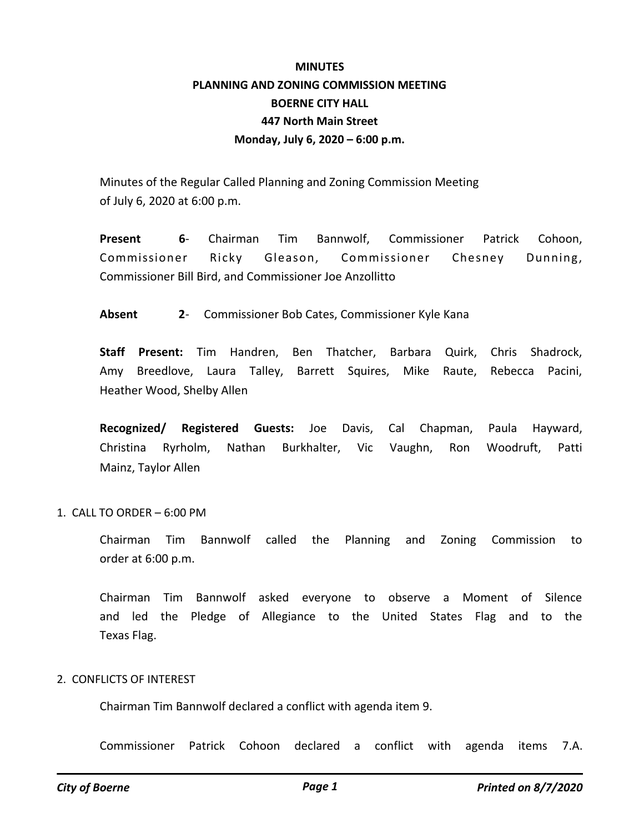# **MINUTES PLANNING AND ZONING COMMISSION MEETING BOERNE CITY HALL 447 North Main Street Monday, July 6, 2020 – 6:00 p.m.**

Minutes of the Regular Called Planning and Zoning Commission Meeting of July 6, 2020 at 6:00 p.m.

**Present 6**- Chairman Tim Bannwolf, Commissioner Patrick Cohoon, Commissioner Ricky Gleason, Commissioner Chesney Dunning, Commissioner Bill Bird, and Commissioner Joe Anzollitto

**Absent 2**- Commissioner Bob Cates, Commissioner Kyle Kana

**Staff Present:** Tim Handren, Ben Thatcher, Barbara Quirk, Chris Shadrock, Amy Breedlove, Laura Talley, Barrett Squires, Mike Raute, Rebecca Pacini, Heather Wood, Shelby Allen

**Recognized/ Registered Guests:** Joe Davis, Cal Chapman, Paula Hayward, Christina Ryrholm, Nathan Burkhalter, Vic Vaughn, Ron Woodruft, Patti Mainz, Taylor Allen

## 1. CALL TO ORDER – 6:00 PM

Chairman Tim Bannwolf called the Planning and Zoning Commission to order at 6:00 p.m.

Chairman Tim Bannwolf asked everyone to observe a Moment of Silence and led the Pledge of Allegiance to the United States Flag and to the Texas Flag.

#### 2. CONFLICTS OF INTEREST

Chairman Tim Bannwolf declared a conflict with agenda item 9.

Commissioner Patrick Cohoon declared a conflict with agenda items 7.A.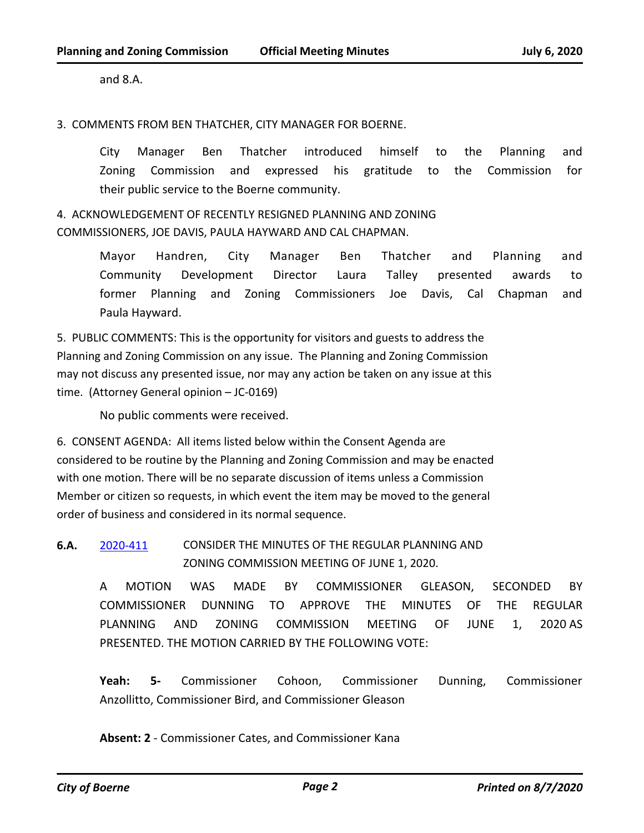and 8.A.

3. COMMENTS FROM BEN THATCHER, CITY MANAGER FOR BOERNE.

City Manager Ben Thatcher introduced himself to the Planning and Zoning Commission and expressed his gratitude to the Commission for their public service to the Boerne community.

4. ACKNOWLEDGEMENT OF RECENTLY RESIGNED PLANNING AND ZONING COMMISSIONERS, JOE DAVIS, PAULA HAYWARD AND CAL CHAPMAN.

> Mayor Handren, City Manager Ben Thatcher and Planning and Community Development Director Laura Talley presented awards to former Planning and Zoning Commissioners Joe Davis, Cal Chapman and Paula Hayward.

5. PUBLIC COMMENTS: This is the opportunity for visitors and guests to address the Planning and Zoning Commission on any issue. The Planning and Zoning Commission may not discuss any presented issue, nor may any action be taken on any issue at this time. (Attorney General opinion – JC-0169)

No public comments were received.

6. CONSENT AGENDA: All items listed below within the Consent Agenda are considered to be routine by the Planning and Zoning Commission and may be enacted with one motion. There will be no separate discussion of items unless a Commission Member or citizen so requests, in which event the item may be moved to the general order of business and considered in its normal sequence.

**6.A.** [2020-411](http://boerne.legistar.com/gateway.aspx?m=l&id=/matter.aspx?key=5330) CONSIDER THE MINUTES OF THE REGULAR PLANNING AND ZONING COMMISSION MEETING OF JUNE 1, 2020.

> A MOTION WAS MADE BY COMMISSIONER GLEASON, SECONDED BY COMMISSIONER DUNNING TO APPROVE THE MINUTES OF THE REGULAR PLANNING AND ZONING COMMISSION MEETING OF JUNE 1, 2020 AS PRESENTED. THE MOTION CARRIED BY THE FOLLOWING VOTE:

> **Yeah: 5-** Commissioner Cohoon, Commissioner Dunning, Commissioner Anzollitto, Commissioner Bird, and Commissioner Gleason

**Absent: 2** - Commissioner Cates, and Commissioner Kana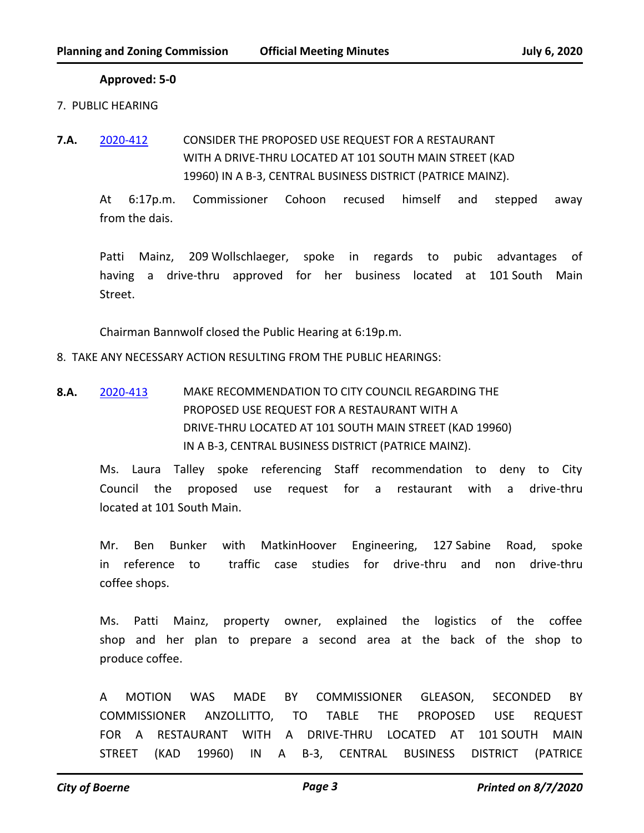#### **Approved: 5-0**

- 7. PUBLIC HEARING
- **7.A.** [2020-412](http://boerne.legistar.com/gateway.aspx?m=l&id=/matter.aspx?key=5331) CONSIDER THE PROPOSED USE REQUEST FOR A RESTAURANT WITH A DRIVE-THRU LOCATED AT 101 SOUTH MAIN STREET (KAD 19960) IN A B-3, CENTRAL BUSINESS DISTRICT (PATRICE MAINZ).

At 6:17p.m. Commissioner Cohoon recused himself and stepped away from the dais.

Patti Mainz, 209 Wollschlaeger, spoke in regards to pubic advantages of having a drive-thru approved for her business located at 101 South Main Street.

Chairman Bannwolf closed the Public Hearing at 6:19p.m.

8. TAKE ANY NECESSARY ACTION RESULTING FROM THE PUBLIC HEARINGS:

**8.A.** [2020-413](http://boerne.legistar.com/gateway.aspx?m=l&id=/matter.aspx?key=5332) MAKE RECOMMENDATION TO CITY COUNCIL REGARDING THE PROPOSED USE REQUEST FOR A RESTAURANT WITH A DRIVE-THRU LOCATED AT 101 SOUTH MAIN STREET (KAD 19960) IN A B-3, CENTRAL BUSINESS DISTRICT (PATRICE MAINZ).

Ms. Laura Talley spoke referencing Staff recommendation to deny to City Council the proposed use request for a restaurant with a drive-thru located at 101 South Main.

Mr. Ben Bunker with MatkinHoover Engineering, 127 Sabine Road, spoke in reference to traffic case studies for drive-thru and non drive-thru coffee shops.

Ms. Patti Mainz, property owner, explained the logistics of the coffee shop and her plan to prepare a second area at the back of the shop to produce coffee.

A MOTION WAS MADE BY COMMISSIONER GLEASON, SECONDED BY COMMISSIONER ANZOLLITTO, TO TABLE THE PROPOSED USE REQUEST FOR A RESTAURANT WITH A DRIVE-THRU LOCATED AT 101 SOUTH MAIN STREET (KAD 19960) IN A B-3, CENTRAL BUSINESS DISTRICT (PATRICE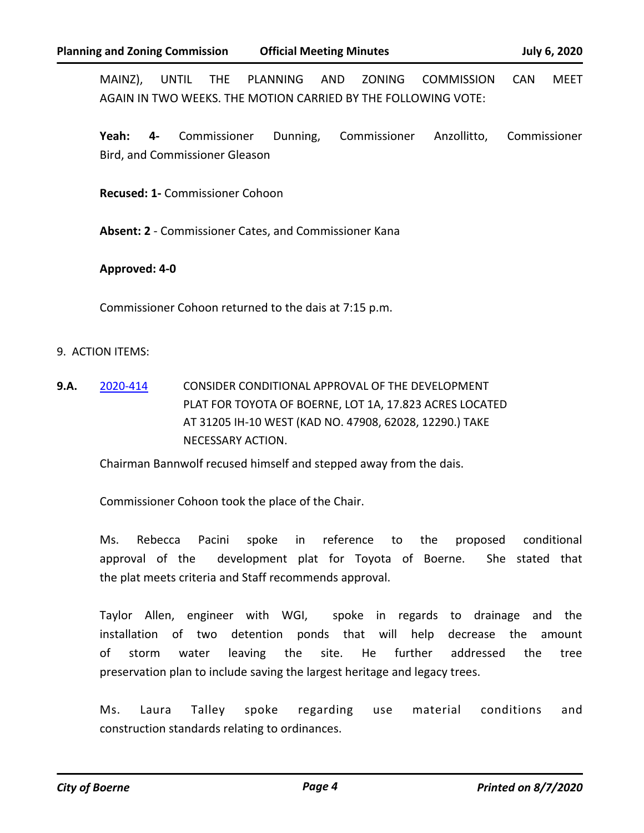MAINZ), UNTIL THE PLANNING AND ZONING COMMISSION CAN MEET AGAIN IN TWO WEEKS. THE MOTION CARRIED BY THE FOLLOWING VOTE:

**Yeah: 4-** Commissioner Dunning, Commissioner Anzollitto, Commissioner Bird, and Commissioner Gleason

**Recused: 1-** Commissioner Cohoon

**Absent: 2** - Commissioner Cates, and Commissioner Kana

## **Approved: 4-0**

Commissioner Cohoon returned to the dais at 7:15 p.m.

#### 9. ACTION ITEMS:

**9.A.** [2020-414](http://boerne.legistar.com/gateway.aspx?m=l&id=/matter.aspx?key=5333) CONSIDER CONDITIONAL APPROVAL OF THE DEVELOPMENT PLAT FOR TOYOTA OF BOERNE, LOT 1A, 17.823 ACRES LOCATED AT 31205 IH-10 WEST (KAD NO. 47908, 62028, 12290.) TAKE NECESSARY ACTION.

Chairman Bannwolf recused himself and stepped away from the dais.

Commissioner Cohoon took the place of the Chair.

Ms. Rebecca Pacini spoke in reference to the proposed conditional approval of the development plat for Toyota of Boerne. She stated that the plat meets criteria and Staff recommends approval.

Taylor Allen, engineer with WGI, spoke in regards to drainage and the installation of two detention ponds that will help decrease the amount of storm water leaving the site. He further addressed the tree preservation plan to include saving the largest heritage and legacy trees.

Ms. Laura Talley spoke regarding use material conditions and construction standards relating to ordinances.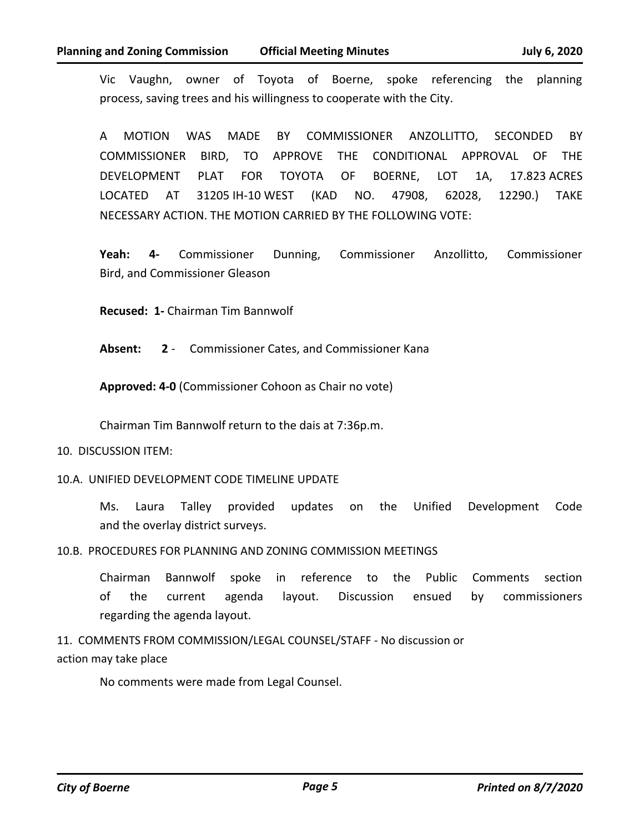Vic Vaughn, owner of Toyota of Boerne, spoke referencing the planning process, saving trees and his willingness to cooperate with the City.

A MOTION WAS MADE BY COMMISSIONER ANZOLLITTO, SECONDED BY COMMISSIONER BIRD, TO APPROVE THE CONDITIONAL APPROVAL OF THE DEVELOPMENT PLAT FOR TOYOTA OF BOERNE, LOT 1A, 17.823 ACRES LOCATED AT 31205 IH-10 WEST (KAD NO. 47908, 62028, 12290.) TAKE NECESSARY ACTION. THE MOTION CARRIED BY THE FOLLOWING VOTE:

**Yeah: 4-** Commissioner Dunning, Commissioner Anzollitto, Commissioner Bird, and Commissioner Gleason

**Recused: 1-** Chairman Tim Bannwolf

**Absent: 2** - Commissioner Cates, and Commissioner Kana

**Approved: 4-0** (Commissioner Cohoon as Chair no vote)

Chairman Tim Bannwolf return to the dais at 7:36p.m.

## 10. DISCUSSION ITEM:

10.A. UNIFIED DEVELOPMENT CODE TIMELINE UPDATE

Ms. Laura Talley provided updates on the Unified Development Code and the overlay district surveys.

10.B. PROCEDURES FOR PLANNING AND ZONING COMMISSION MEETINGS

Chairman Bannwolf spoke in reference to the Public Comments section of the current agenda layout. Discussion ensued by commissioners regarding the agenda layout.

11. COMMENTS FROM COMMISSION/LEGAL COUNSEL/STAFF - No discussion or action may take place

No comments were made from Legal Counsel.